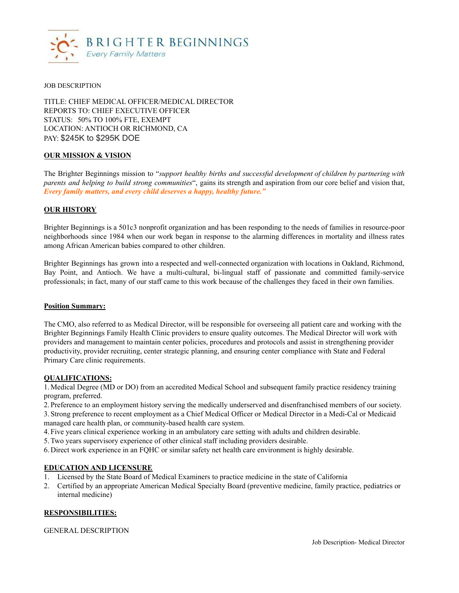

#### JOB DESCRIPTION

TITLE: CHIEF MEDICAL OFFICER/MEDICAL DIRECTOR REPORTS TO: CHIEF EXECUTIVE OFFICER STATUS: 50% TO 100% FTE, EXEMPT LOCATION: ANTIOCH OR RICHMOND, CA PAY: \$245K to \$295K DOE

### **OUR MISSION & VISION**

The Brighter Beginnings mission to "*support healthy births and successful development of children by partnering with parents and helping to build strong communities*", gains its strength and aspiration from our core belief and vision that, *Every family matters, and every child deserves a happy, healthy future."*

### **OUR HISTORY**

Brighter Beginnings is a 501c3 nonprofit organization and has been responding to the needs of families in resource-poor neighborhoods since 1984 when our work began in response to the alarming differences in mortality and illness rates among African American babies compared to other children.

Brighter Beginnings has grown into a respected and well-connected organization with locations in Oakland, Richmond, Bay Point, and Antioch. We have a multi-cultural, bi-lingual staff of passionate and committed family-service professionals; in fact, many of our staff came to this work because of the challenges they faced in their own families.

#### **Position Summary:**

The CMO, also referred to as Medical Director, will be responsible for overseeing all patient care and working with the Brighter Beginnings Family Health Clinic providers to ensure quality outcomes. The Medical Director will work with providers and management to maintain center policies, procedures and protocols and assist in strengthening provider productivity, provider recruiting, center strategic planning, and ensuring center compliance with State and Federal Primary Care clinic requirements.

### **QUALIFICATIONS:**

1. Medical Degree (MD or DO) from an accredited Medical School and subsequent family practice residency training program, preferred.

2. Preference to an employment history serving the medically underserved and disenfranchised members of our society. 3. Strong preference to recent employment as a Chief Medical Officer or Medical Director in a Medi-Cal or Medicaid managed care health plan, or community-based health care system.

4. Five years clinical experience working in an ambulatory care setting with adults and children desirable.

5.Two years supervisory experience of other clinical staff including providers desirable.

6. Direct work experience in an FQHC or similar safety net health care environment is highly desirable.

### **EDUCATION AND LICENSURE**

- 1. Licensed by the State Board of Medical Examiners to practice medicine in the state of California
- 2. Certified by an appropriate American Medical Specialty Board (preventive medicine, family practice, pediatrics or internal medicine)

### **RESPONSIBILITIES:**

### GENERAL DESCRIPTION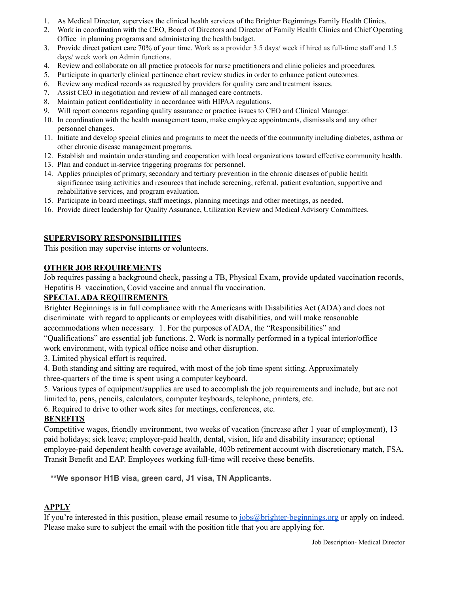- 1. As Medical Director, supervises the clinical health services of the Brighter Beginnings Family Health Clinics.
- 2. Work in coordination with the CEO, Board of Directors and Director of Family Health Clinics and Chief Operating Office in planning programs and administering the health budget.
- 3. Provide direct patient care 70% of your time. Work as a provider 3.5 days/ week if hired as full-time staff and 1.5 days/ week work on Admin functions.
- 4. Review and collaborate on all practice protocols for nurse practitioners and clinic policies and procedures.
- 5. Participate in quarterly clinical pertinence chart review studies in order to enhance patient outcomes.
- 6. Review any medical records as requested by providers for quality care and treatment issues.
- 7. Assist CEO in negotiation and review of all managed care contracts.
- 8. Maintain patient confidentiality in accordance with HIPAA regulations.
- 9. Will report concerns regarding quality assurance or practice issues to CEO and Clinical Manager.
- 10. In coordination with the health management team, make employee appointments, dismissals and any other personnel changes.
- 11. Initiate and develop special clinics and programs to meet the needs of the community including diabetes, asthma or other chronic disease management programs.
- 12. Establish and maintain understanding and cooperation with local organizations toward effective community health.
- 13. Plan and conduct in-service triggering programs for personnel.
- 14. Applies principles of primary, secondary and tertiary prevention in the chronic diseases of public health significance using activities and resources that include screening, referral, patient evaluation, supportive and rehabilitative services, and program evaluation.
- 15. Participate in board meetings, staff meetings, planning meetings and other meetings, as needed.
- 16. Provide direct leadership for Quality Assurance, Utilization Review and Medical Advisory Committees.

## **SUPERVISORY RESPONSIBILITIES**

This position may supervise interns or volunteers.

### **OTHER JOB REQUIREMENTS**

Job requires passing a background check, passing a TB, Physical Exam, provide updated vaccination records, Hepatitis B vaccination, Covid vaccine and annual flu vaccination.

## **SPECIALADA REQUIREMENTS**

Brighter Beginnings is in full compliance with the Americans with Disabilities Act (ADA) and does not discriminate with regard to applicants or employees with disabilities, and will make reasonable accommodations when necessary. 1. For the purposes of ADA, the "Responsibilities" and

"Qualifications" are essential job functions. 2. Work is normally performed in a typical interior/office work environment, with typical office noise and other disruption.

3. Limited physical effort is required.

4. Both standing and sitting are required, with most of the job time spent sitting. Approximately three-quarters of the time is spent using a computer keyboard.

5. Various types of equipment/supplies are used to accomplish the job requirements and include, but are not limited to, pens, pencils, calculators, computer keyboards, telephone, printers, etc.

6. Required to drive to other work sites for meetings, conferences, etc.

### **BENEFITS**

Competitive wages, friendly environment, two weeks of vacation (increase after 1 year of employment), 13 paid holidays; sick leave; employer-paid health, dental, vision, life and disability insurance; optional employee-paid dependent health coverage available, 403b retirement account with discretionary match, FSA, Transit Benefit and EAP. Employees working full-time will receive these benefits.

**\*\*We sponsor H1B visa, green card, J1 visa, TN Applicants.**

# **APPLY**

If you're interested in this position, please email resume to [jobs@brighter-beginnings.org](mailto:jobs@brighter-beginnings.org) or apply on indeed. Please make sure to subject the email with the position title that you are applying for.